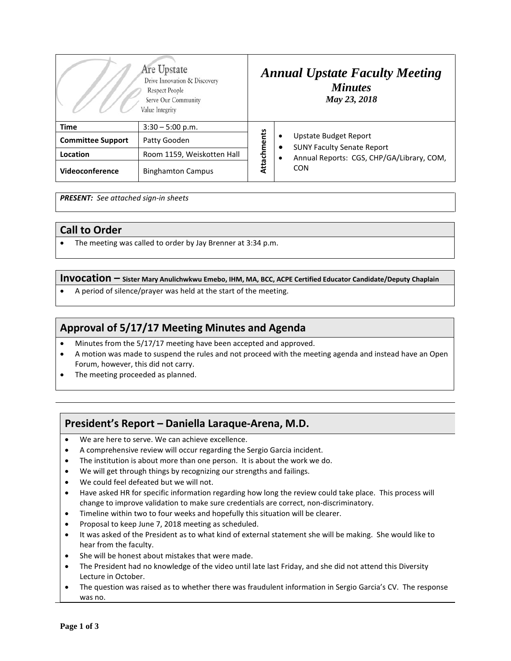| Are Upstate<br>Drive Innovation & Discovery<br>Respect People<br>Serve Our Community<br>Value Integrity |                            | <b>Annual Upstate Faculty Meeting</b><br><b>Minutes</b><br>May 23, 2018 |                                                                                                                            |
|---------------------------------------------------------------------------------------------------------|----------------------------|-------------------------------------------------------------------------|----------------------------------------------------------------------------------------------------------------------------|
| <b>Time</b>                                                                                             | $3:30 - 5:00$ p.m.         | Attachments                                                             | Upstate Budget Report<br>٠<br><b>SUNY Faculty Senate Report</b><br>Annual Reports: CGS, CHP/GA/Library, COM,<br><b>CON</b> |
| <b>Committee Support</b>                                                                                | Patty Gooden               |                                                                         |                                                                                                                            |
| Location                                                                                                | Room 1159, Weiskotten Hall |                                                                         |                                                                                                                            |
| Videoconference                                                                                         | <b>Binghamton Campus</b>   |                                                                         |                                                                                                                            |

*PRESENT: See attached sign-in sheets*

### **Call to Order**

• The meeting was called to order by Jay Brenner at 3:34 p.m.

**Invocation – Sister Mary Anulichwkwu Emebo, IHM, MA, BCC, ACPE Certified Educator Candidate/Deputy Chaplain**

• A period of silence/prayer was held at the start of the meeting.

# **Approval of 5/17/17 Meeting Minutes and Agenda**

- Minutes from the 5/17/17 meeting have been accepted and approved.
- A motion was made to suspend the rules and not proceed with the meeting agenda and instead have an Open Forum, however, this did not carry.
- The meeting proceeded as planned.

# **President's Report – Daniella Laraque-Arena, M.D.**

- We are here to serve. We can achieve excellence.
- A comprehensive review will occur regarding the Sergio Garcia incident.
- The institution is about more than one person. It is about the work we do.
- We will get through things by recognizing our strengths and failings.
- We could feel defeated but we will not.
- Have asked HR for specific information regarding how long the review could take place. This process will change to improve validation to make sure credentials are correct, non-discriminatory.
- Timeline within two to four weeks and hopefully this situation will be clearer.
- Proposal to keep June 7, 2018 meeting as scheduled.
- It was asked of the President as to what kind of external statement she will be making. She would like to hear from the faculty.
- She will be honest about mistakes that were made.
- The President had no knowledge of the video until late last Friday, and she did not attend this Diversity Lecture in October.
- The question was raised as to whether there was fraudulent information in Sergio Garcia's CV. The response was no.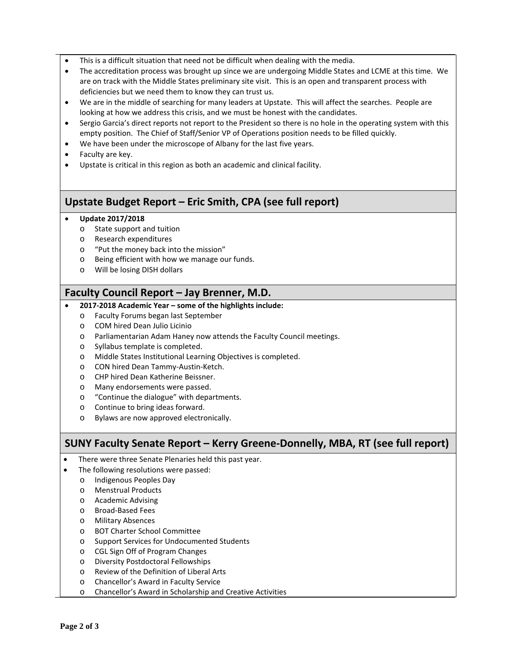- This is a difficult situation that need not be difficult when dealing with the media.
- The accreditation process was brought up since we are undergoing Middle States and LCME at this time. We are on track with the Middle States preliminary site visit. This is an open and transparent process with deficiencies but we need them to know they can trust us.
- We are in the middle of searching for many leaders at Upstate. This will affect the searches. People are looking at how we address this crisis, and we must be honest with the candidates.
- Sergio Garcia's direct reports not report to the President so there is no hole in the operating system with this empty position. The Chief of Staff/Senior VP of Operations position needs to be filled quickly.
- We have been under the microscope of Albany for the last five years.
- Faculty are key.
- Upstate is critical in this region as both an academic and clinical facility.

## **Upstate Budget Report – Eric Smith, CPA (see full report)**

- **Update 2017/2018**
	- o State support and tuition
	- o Research expenditures
	- o "Put the money back into the mission"
	- o Being efficient with how we manage our funds.
	- o Will be losing DISH dollars

### **Faculty Council Report – Jay Brenner, M.D.**

#### • **2017-2018 Academic Year – some of the highlights include:**

- o Faculty Forums began last September
- o COM hired Dean Julio Licinio
- o Parliamentarian Adam Haney now attends the Faculty Council meetings.
- o Syllabus template is completed.
- o Middle States Institutional Learning Objectives is completed.
- o CON hired Dean Tammy-Austin-Ketch.
- o CHP hired Dean Katherine Beissner.
- o Many endorsements were passed.
- o "Continue the dialogue" with departments.
- o Continue to bring ideas forward.
- o Bylaws are now approved electronically.

## **SUNY Faculty Senate Report – Kerry Greene-Donnelly, MBA, RT (see full report)**

- There were three Senate Plenaries held this past year.
- The following resolutions were passed:
	- o Indigenous Peoples Day
	- o Menstrual Products
	- o Academic Advising
	- o Broad-Based Fees
	- o Military Absences
	- o BOT Charter School Committee
	- o Support Services for Undocumented Students
	- o CGL Sign Off of Program Changes
	- o Diversity Postdoctoral Fellowships
	- o Review of the Definition of Liberal Arts
	- o Chancellor's Award in Faculty Service
	- o Chancellor's Award in Scholarship and Creative Activities